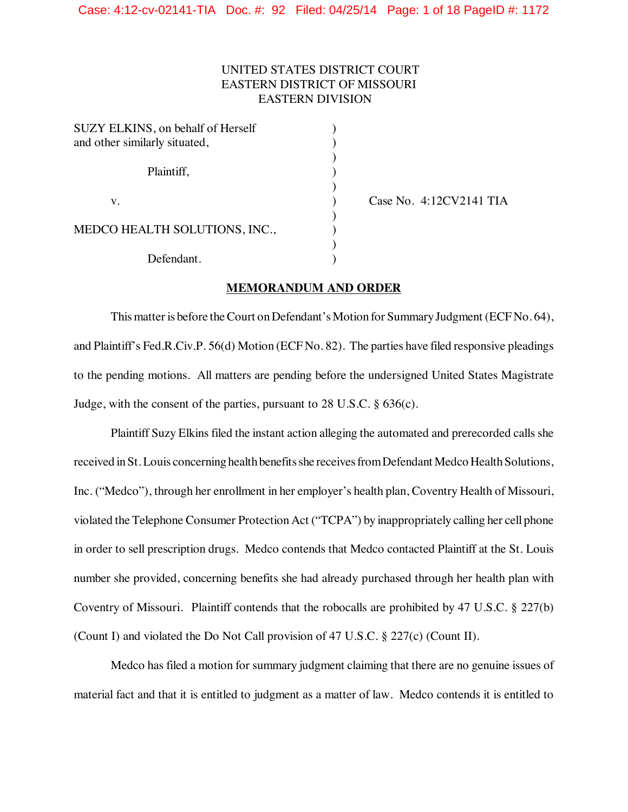# UNITED STATES DISTRICT COURT EASTERN DISTRICT OF MISSOURI EASTERN DIVISION

)

)

)

)

| SUZY ELKINS, on behalf of Herself    |  |
|--------------------------------------|--|
| and other similarly situated,        |  |
| Plaintiff,                           |  |
| $V_{\cdot}$                          |  |
| <b>MEDCO HEALTH SOLUTIONS, INC.,</b> |  |
| Defendant.                           |  |

) Case No. 4:12CV2141 TIA

## **MEMORANDUM AND ORDER**

This matter is before the Court on Defendant's Motion for Summary Judgment (ECFNo. 64), and Plaintiff's Fed.R.Civ.P. 56(d) Motion (ECF No. 82). The parties have filed responsive pleadings to the pending motions. All matters are pending before the undersigned United States Magistrate Judge, with the consent of the parties, pursuant to  $28 \text{ U.S.C.}$  §  $636(c)$ .

Plaintiff Suzy Elkins filed the instant action alleging the automated and prerecorded calls she received in St. Louis concerning health benefits she receives from Defendant Medco Health Solutions, Inc. ("Medco"), through her enrollment in her employer's health plan, Coventry Health of Missouri, violated the Telephone Consumer Protection Act ("TCPA") by inappropriately calling her cell phone in order to sell prescription drugs. Medco contends that Medco contacted Plaintiff at the St. Louis number she provided, concerning benefits she had already purchased through her health plan with Coventry of Missouri. Plaintiff contends that the robocalls are prohibited by 47 U.S.C. § 227(b) (Count I) and violated the Do Not Call provision of 47 U.S.C. § 227(c) (Count II).

Medco has filed a motion for summary judgment claiming that there are no genuine issues of material fact and that it is entitled to judgment as a matter of law. Medco contends it is entitled to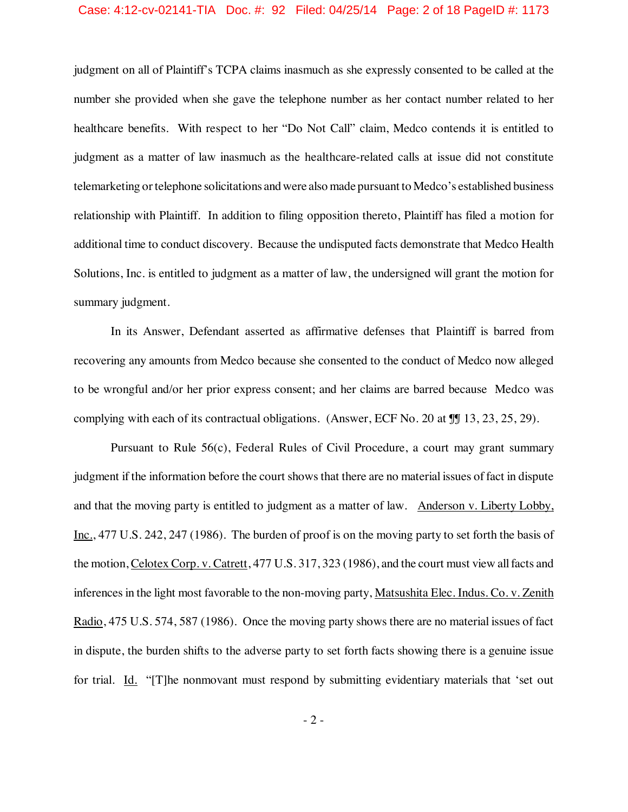## Case: 4:12-cv-02141-TIA Doc. #: 92 Filed: 04/25/14 Page: 2 of 18 PageID #: 1173

judgment on all of Plaintiff's TCPA claims inasmuch as she expressly consented to be called at the number she provided when she gave the telephone number as her contact number related to her healthcare benefits. With respect to her "Do Not Call" claim, Medco contends it is entitled to judgment as a matter of law inasmuch as the healthcare-related calls at issue did not constitute telemarketing or telephone solicitations andwere also made pursuant to Medco's established business relationship with Plaintiff. In addition to filing opposition thereto, Plaintiff has filed a motion for additional time to conduct discovery. Because the undisputed facts demonstrate that Medco Health Solutions, Inc. is entitled to judgment as a matter of law, the undersigned will grant the motion for summary judgment.

In its Answer, Defendant asserted as affirmative defenses that Plaintiff is barred from recovering any amounts from Medco because she consented to the conduct of Medco now alleged to be wrongful and/or her prior express consent; and her claims are barred because Medco was complying with each of its contractual obligations. (Answer, ECF No. 20 at  $\mathbb{I}$  13, 23, 25, 29).

Pursuant to Rule 56(c), Federal Rules of Civil Procedure, a court may grant summary judgment if the information before the court showsthat there are no material issues of fact in dispute and that the moving party is entitled to judgment as a matter of law. Anderson v. Liberty Lobby, Inc., 477 U.S. 242, 247 (1986). The burden of proof is on the moving party to set forth the basis of the motion, Celotex Corp. v. Catrett, 477 U.S. 317, 323 (1986), and the court must view allfacts and inferencesin the light most favorable to the non-moving party, Matsushita Elec. Indus. Co. v. Zenith Radio, 475 U.S. 574, 587 (1986). Once the moving party shows there are no material issues of fact in dispute, the burden shifts to the adverse party to set forth facts showing there is a genuine issue for trial. Id. "[T]he nonmovant must respond by submitting evidentiary materials that 'set out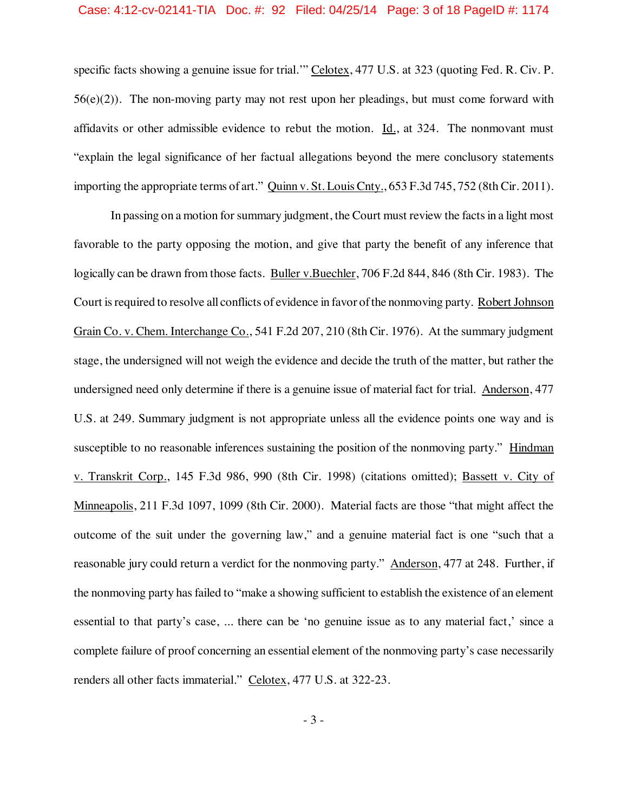## Case: 4:12-cv-02141-TIA Doc. #: 92 Filed: 04/25/14 Page: 3 of 18 PageID #: 1174

specific facts showing a genuine issue for trial.'" Celotex, 477 U.S. at 323 (quoting Fed. R. Civ. P.  $56(e)(2)$ ). The non-moving party may not rest upon her pleadings, but must come forward with affidavits or other admissible evidence to rebut the motion. Id., at 324. The nonmovant must "explain the legal significance of her factual allegations beyond the mere conclusory statements importing the appropriate terms of art." Quinn v. St. Louis Cnty., 653 F.3d 745, 752 (8th Cir. 2011).

In passing on a motion for summary judgment, the Court must review the facts in a light most favorable to the party opposing the motion, and give that party the benefit of any inference that logically can be drawn from those facts. Buller v.Buechler, 706 F.2d 844, 846 (8th Cir. 1983). The Court is required to resolve all conflicts of evidence in favor of the nonmoving party. Robert Johnson Grain Co. v. Chem. Interchange Co., 541 F.2d 207, 210 (8th Cir. 1976). At the summary judgment stage, the undersigned will not weigh the evidence and decide the truth of the matter, but rather the undersigned need only determine if there is a genuine issue of material fact for trial. Anderson, 477 U.S. at 249. Summary judgment is not appropriate unless all the evidence points one way and is susceptible to no reasonable inferences sustaining the position of the nonmoving party." Hindman v. Transkrit Corp., 145 F.3d 986, 990 (8th Cir. 1998) (citations omitted); Bassett v. City of Minneapolis, 211 F.3d 1097, 1099 (8th Cir. 2000). Material facts are those "that might affect the outcome of the suit under the governing law," and a genuine material fact is one "such that a reasonable jury could return a verdict for the nonmoving party." Anderson, 477 at 248. Further, if the nonmoving party hasfailed to "make a showing sufficient to establish the existence of an element essential to that party's case, ... there can be 'no genuine issue as to any material fact,' since a complete failure of proof concerning an essential element of the nonmoving party's case necessarily renders all other facts immaterial." Celotex, 477 U.S. at 322-23.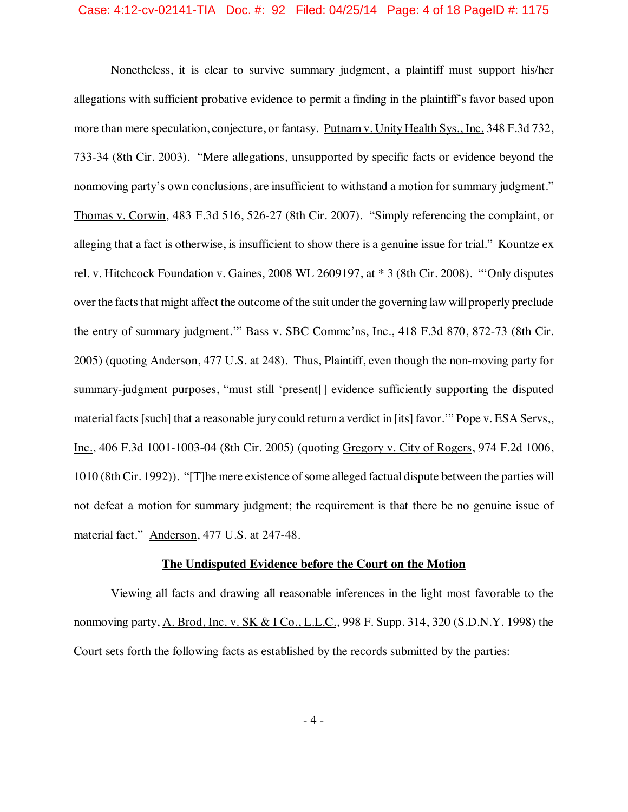## Case: 4:12-cv-02141-TIA Doc. #: 92 Filed: 04/25/14 Page: 4 of 18 PageID #: 1175

Nonetheless, it is clear to survive summary judgment, a plaintiff must support his/her allegations with sufficient probative evidence to permit a finding in the plaintiff's favor based upon more than mere speculation, conjecture, or fantasy. Putnam v. Unity Health Sys., Inc. 348 F.3d 732, 733-34 (8th Cir. 2003). "Mere allegations, unsupported by specific facts or evidence beyond the nonmoving party's own conclusions, are insufficient to withstand a motion for summary judgment." Thomas v. Corwin, 483 F.3d 516, 526-27 (8th Cir. 2007). "Simply referencing the complaint, or alleging that a fact is otherwise, is insufficient to show there is a genuine issue for trial." Kountze ex rel. v. Hitchcock Foundation v. Gaines, 2008 WL 2609197, at \* 3 (8th Cir. 2008). "'Only disputes over the facts that might affect the outcome of the suit under the governing law will properly preclude the entry of summary judgment.'" Bass v. SBC Commc'ns, Inc., 418 F.3d 870, 872-73 (8th Cir. 2005) (quoting Anderson, 477 U.S. at 248). Thus, Plaintiff, even though the non-moving party for summary-judgment purposes, "must still 'present[] evidence sufficiently supporting the disputed material facts [such] that a reasonable jury could return a verdict in [its] favor." Pope v. ESA Servs, Inc., 406 F.3d 1001-1003-04 (8th Cir. 2005) (quoting Gregory v. City of Rogers, 974 F.2d 1006, 1010 (8th Cir. 1992)). "[T]he mere existence of some alleged factual dispute between the parties will not defeat a motion for summary judgment; the requirement is that there be no genuine issue of material fact." Anderson, 477 U.S. at 247-48.

## **The Undisputed Evidence before the Court on the Motion**

Viewing all facts and drawing all reasonable inferences in the light most favorable to the nonmoving party, A. Brod, Inc. v. SK & I Co., L.L.C., 998 F. Supp. 314, 320 (S.D.N.Y. 1998) the Court sets forth the following facts as established by the records submitted by the parties: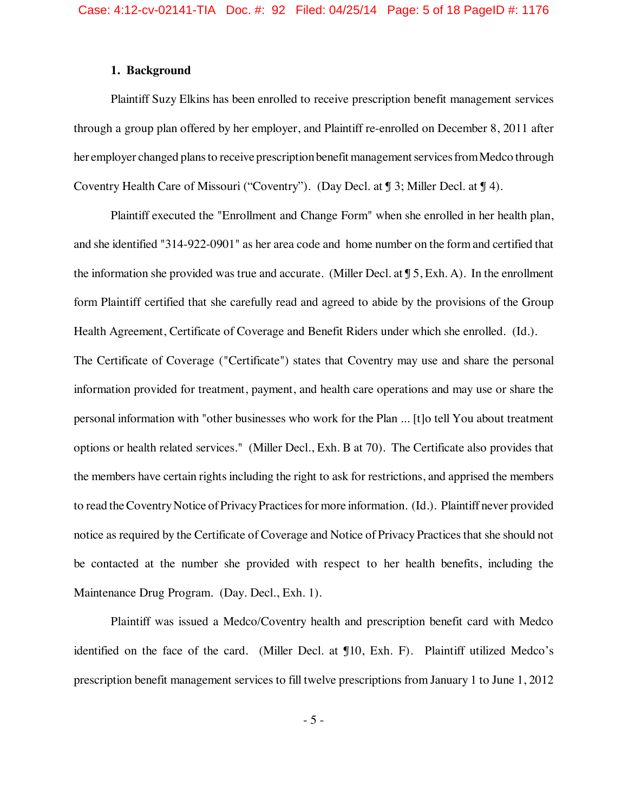## **1. Background**

Plaintiff Suzy Elkins has been enrolled to receive prescription benefit management services through a group plan offered by her employer, and Plaintiff re-enrolled on December 8, 2011 after her employer changed plans to receive prescription benefit management services from Medco through Coventry Health Care of Missouri ("Coventry"). (Day Decl. at ¶ 3; Miller Decl. at ¶ 4).

Plaintiff executed the "Enrollment and Change Form" when she enrolled in her health plan, and she identified "314-922-0901" as her area code and home number on the form and certified that the information she provided was true and accurate. (Miller Decl. at ¶ 5, Exh. A). In the enrollment form Plaintiff certified that she carefully read and agreed to abide by the provisions of the Group Health Agreement, Certificate of Coverage and Benefit Riders under which she enrolled. (Id.).

The Certificate of Coverage ("Certificate") states that Coventry may use and share the personal information provided for treatment, payment, and health care operations and may use or share the personal information with "other businesses who work for the Plan ... [t]o tell You about treatment options or health related services." (Miller Decl., Exh. B at 70). The Certificate also provides that the members have certain rights including the right to ask for restrictions, and apprised the members to read the Coventry Notice of Privacy Practices for more information. (Id.). Plaintiff never provided notice as required by the Certificate of Coverage and Notice of Privacy Practices that she should not be contacted at the number she provided with respect to her health benefits, including the Maintenance Drug Program. (Day. Decl., Exh. 1).

Plaintiff was issued a Medco/Coventry health and prescription benefit card with Medco identified on the face of the card. (Miller Decl. at ¶10, Exh. F). Plaintiff utilized Medco's prescription benefit management services to fill twelve prescriptions from January 1 to June 1, 2012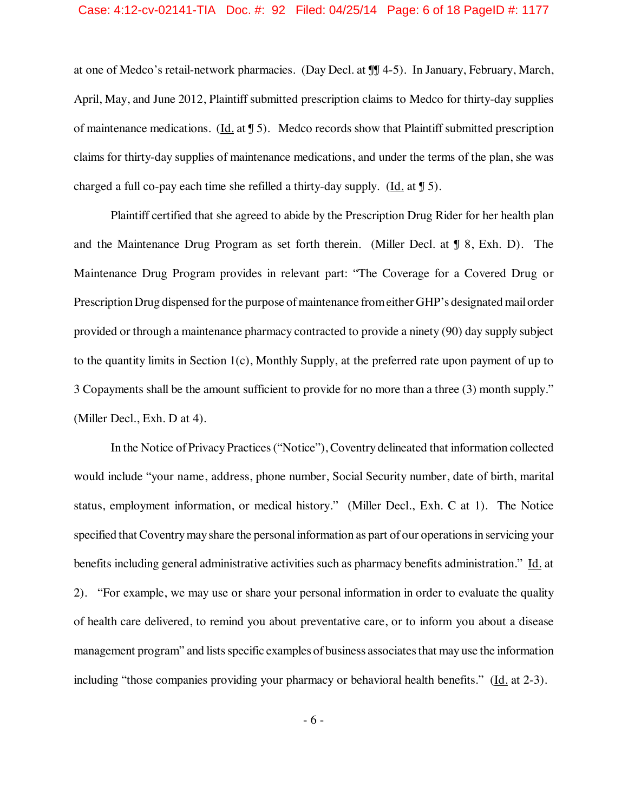## Case: 4:12-cv-02141-TIA Doc. #: 92 Filed: 04/25/14 Page: 6 of 18 PageID #: 1177

at one of Medco's retail-network pharmacies. (Day Decl. at ¶¶ 4-5). In January, February, March, April, May, and June 2012, Plaintiff submitted prescription claims to Medco for thirty-day supplies of maintenance medications. (Id. at  $\sqrt{5}$ ). Medco records show that Plaintiff submitted prescription claims for thirty-day supplies of maintenance medications, and under the terms of the plan, she was charged a full co-pay each time she refilled a thirty-day supply. (Id. at ¶ 5).

Plaintiff certified that she agreed to abide by the Prescription Drug Rider for her health plan and the Maintenance Drug Program as set forth therein. (Miller Decl. at ¶ 8, Exh. D). The Maintenance Drug Program provides in relevant part: "The Coverage for a Covered Drug or Prescription Drug dispensed for the purpose of maintenance from either GHP's designated mail order provided or through a maintenance pharmacy contracted to provide a ninety (90) day supply subject to the quantity limits in Section 1(c), Monthly Supply, at the preferred rate upon payment of up to 3 Copayments shall be the amount sufficient to provide for no more than a three (3) month supply." (Miller Decl., Exh. D at 4).

In the Notice of Privacy Practices("Notice"), Coventry delineated that information collected would include "your name, address, phone number, Social Security number, date of birth, marital status, employment information, or medical history." (Miller Decl., Exh. C at 1). The Notice specified that Coventry may share the personal information as part of our operations in servicing your benefits including general administrative activities such as pharmacy benefits administration." Id. at 2). "For example, we may use or share your personal information in order to evaluate the quality of health care delivered, to remind you about preventative care, or to inform you about a disease management program" and lists specific examples of business associates that may use the information including "those companies providing your pharmacy or behavioral health benefits." (Id. at 2-3).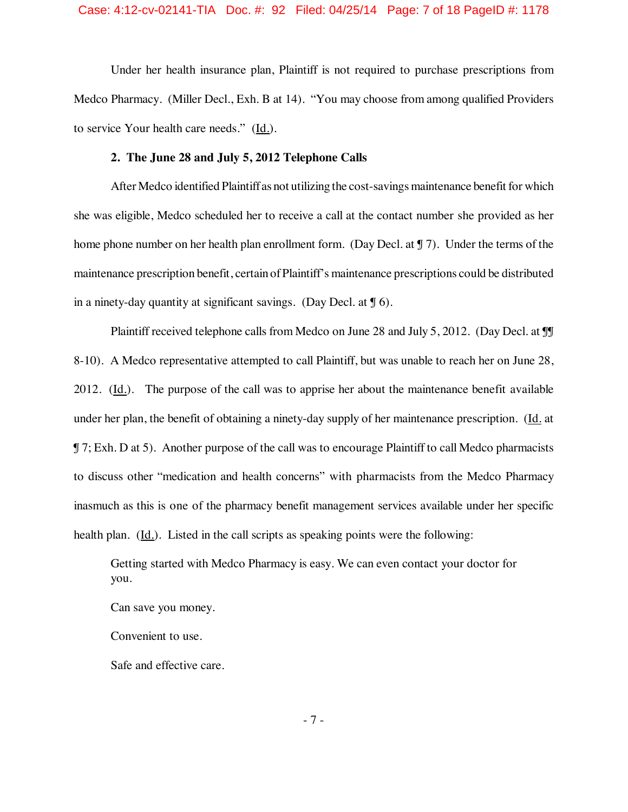## Case: 4:12-cv-02141-TIA Doc. #: 92 Filed: 04/25/14 Page: 7 of 18 PageID #: 1178

Under her health insurance plan, Plaintiff is not required to purchase prescriptions from Medco Pharmacy. (Miller Decl., Exh. B at 14). "You may choose from among qualified Providers to service Your health care needs." (Id.).

## **2. The June 28 and July 5, 2012 Telephone Calls**

After Medco identified Plaintiff as not utilizing the cost-savings maintenance benefit for which she was eligible, Medco scheduled her to receive a call at the contact number she provided as her home phone number on her health plan enrollment form. (Day Decl. at ¶ 7). Under the terms of the maintenance prescription benefit, certain ofPlaintiff's maintenance prescriptions could be distributed in a ninety-day quantity at significant savings. (Day Decl. at  $\sqrt{96}$ ).

Plaintiff received telephone calls from Medco on June 28 and July 5, 2012. (Day Decl. at  $\mathbb{I}$ 8-10). A Medco representative attempted to call Plaintiff, but was unable to reach her on June 28, 2012. (Id.). The purpose of the call was to apprise her about the maintenance benefit available under her plan, the benefit of obtaining a ninety-day supply of her maintenance prescription. (Id. at ¶ 7; Exh. D at 5). Another purpose of the call was to encourage Plaintiff to call Medco pharmacists to discuss other "medication and health concerns" with pharmacists from the Medco Pharmacy inasmuch as this is one of the pharmacy benefit management services available under her specific health plan. (Id.). Listed in the call scripts as speaking points were the following:

Getting started with Medco Pharmacy is easy. We can even contact your doctor for you.

Can save you money.

Convenient to use.

Safe and effective care.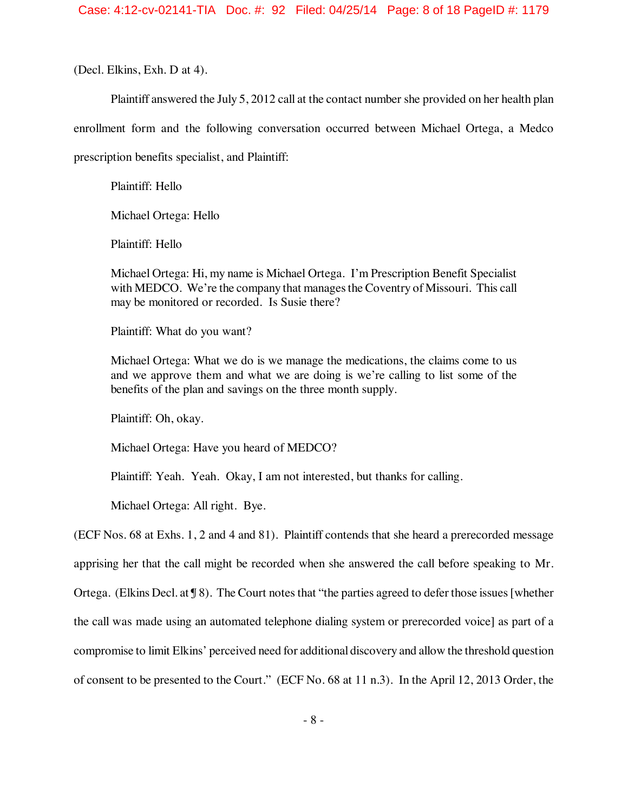(Decl. Elkins, Exh. D at 4).

Plaintiff answered the July 5, 2012 call at the contact number she provided on her health plan

enrollment form and the following conversation occurred between Michael Ortega, a Medco

prescription benefits specialist, and Plaintiff:

Plaintiff: Hello

Michael Ortega: Hello

Plaintiff: Hello

Michael Ortega: Hi, my name is Michael Ortega. I'm Prescription Benefit Specialist with MEDCO. We're the company that manages the Coventry of Missouri. This call may be monitored or recorded. Is Susie there?

Plaintiff: What do you want?

Michael Ortega: What we do is we manage the medications, the claims come to us and we approve them and what we are doing is we're calling to list some of the benefits of the plan and savings on the three month supply.

Plaintiff: Oh, okay.

Michael Ortega: Have you heard of MEDCO?

Plaintiff: Yeah. Yeah. Okay, I am not interested, but thanks for calling.

Michael Ortega: All right. Bye.

(ECF Nos. 68 at Exhs. 1, 2 and 4 and 81). Plaintiff contends that she heard a prerecorded message apprising her that the call might be recorded when she answered the call before speaking to Mr. Ortega. (Elkins Decl. at  $\sqrt{9}$ ). The Court notes that "the parties agreed to defer those issues [whether the call was made using an automated telephone dialing system or prerecorded voice] as part of a compromise to limit Elkins' perceived need for additional discovery and allow the threshold question of consent to be presented to the Court." (ECF No. 68 at 11 n.3). In the April 12, 2013 Order, the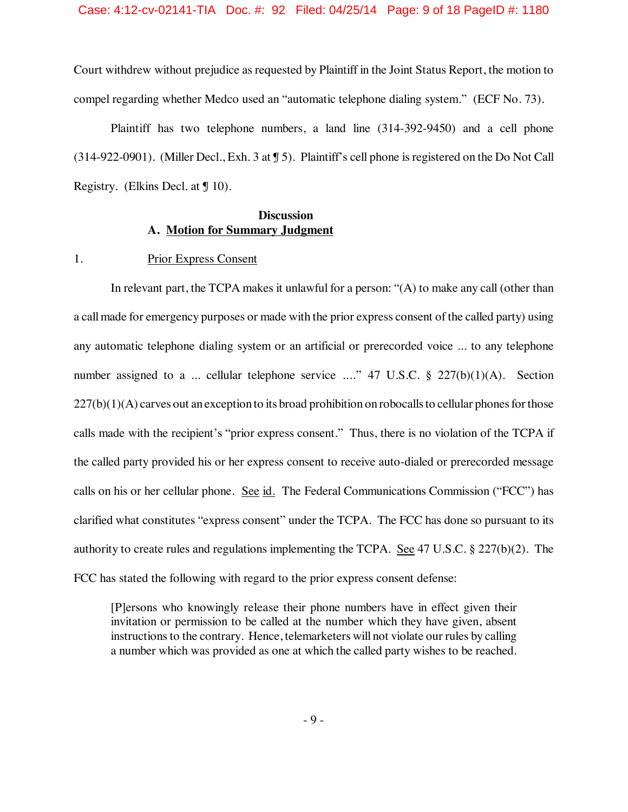Court withdrew without prejudice as requested by Plaintiff in the Joint Status Report, the motion to compel regarding whether Medco used an "automatic telephone dialing system." (ECF No. 73).

Plaintiff has two telephone numbers, a land line (314-392-9450) and a cell phone (314-922-0901). (Miller Decl., Exh. 3 at ¶ 5). Plaintiff's cell phone isregistered on the Do Not Call Registry. (Elkins Decl. at  $\int$  10).

## **Discussion A. Motion for Summary Judgment**

## 1. Prior Express Consent

In relevant part, the TCPA makes it unlawful for a person: "(A) to make any call (other than a callmade for emergency purposes or made with the prior express consent of the called party) using any automatic telephone dialing system or an artificial or prerecorded voice ... to any telephone number assigned to a ... cellular telephone service ...." 47 U.S.C. § 227(b)(1)(A). Section  $227(b)(1)(A)$  carves out an exception to its broad prohibition on robocalls to cellular phones for those calls made with the recipient's "prior express consent." Thus, there is no violation of the TCPA if the called party provided his or her express consent to receive auto-dialed or prerecorded message calls on his or her cellular phone. See id. The Federal Communications Commission ("FCC") has clarified what constitutes "express consent" under the TCPA. The FCC has done so pursuant to its authority to create rules and regulations implementing the TCPA. See 47 U.S.C. § 227(b)(2). The FCC has stated the following with regard to the prior express consent defense:

[P]ersons who knowingly release their phone numbers have in effect given their invitation or permission to be called at the number which they have given, absent instructions to the contrary. Hence, telemarketers will not violate our rules by calling a number which was provided as one at which the called party wishes to be reached.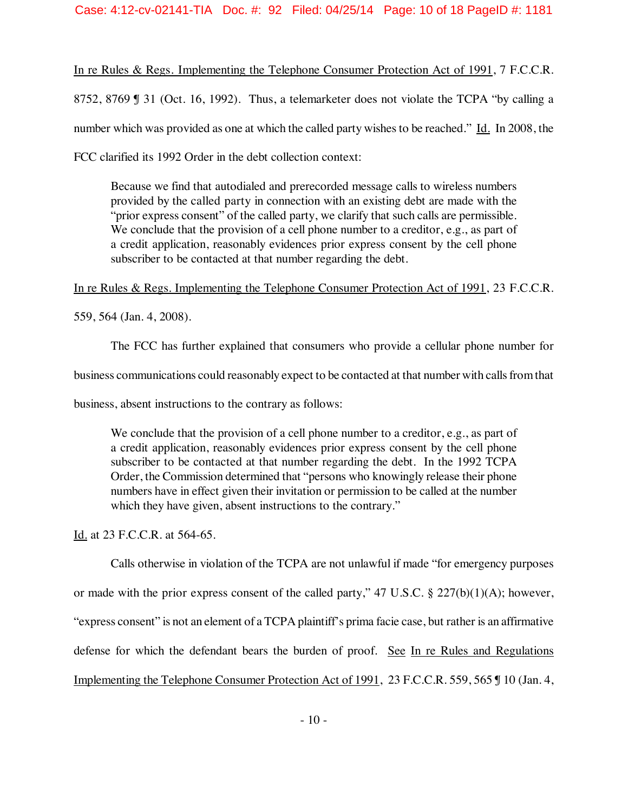## Case: 4:12-cv-02141-TIA Doc. #: 92 Filed: 04/25/14 Page: 10 of 18 PageID #: 1181

In re Rules & Regs. Implementing the Telephone Consumer Protection Act of 1991, 7 F.C.C.R. 8752, 8769 ¶ 31 (Oct. 16, 1992). Thus, a telemarketer does not violate the TCPA "by calling a number which was provided as one at which the called party wishes to be reached." Id. In 2008, the FCC clarified its 1992 Order in the debt collection context:

Because we find that autodialed and prerecorded message calls to wireless numbers provided by the called party in connection with an existing debt are made with the "prior express consent" of the called party, we clarify that such calls are permissible. We conclude that the provision of a cell phone number to a creditor, e.g., as part of a credit application, reasonably evidences prior express consent by the cell phone subscriber to be contacted at that number regarding the debt.

In re Rules & Regs. Implementing the Telephone Consumer Protection Act of 1991, 23 F.C.C.R.

559, 564 (Jan. 4, 2008).

The FCC has further explained that consumers who provide a cellular phone number for business communications could reasonably expect to be contacted at that number with calls from that business, absent instructions to the contrary as follows:

We conclude that the provision of a cell phone number to a creditor, e.g., as part of a credit application, reasonably evidences prior express consent by the cell phone subscriber to be contacted at that number regarding the debt. In the 1992 TCPA Order, the Commission determined that "persons who knowingly release their phone numbers have in effect given their invitation or permission to be called at the number which they have given, absent instructions to the contrary."

Id. at 23 F.C.C.R. at 564-65.

Calls otherwise in violation of the TCPA are not unlawful if made "for emergency purposes or made with the prior express consent of the called party,"  $47 \text{ U.S.C.}$  §  $227(b)(1)(A)$ ; however, "express consent" is not an element of a TCPA plaintiff's prima facie case, but rather is an affirmative defense for which the defendant bears the burden of proof. See In re Rules and Regulations Implementing the Telephone Consumer Protection Act of 1991, 23 F.C.C.R. 559, 565 ¶ 10 (Jan. 4,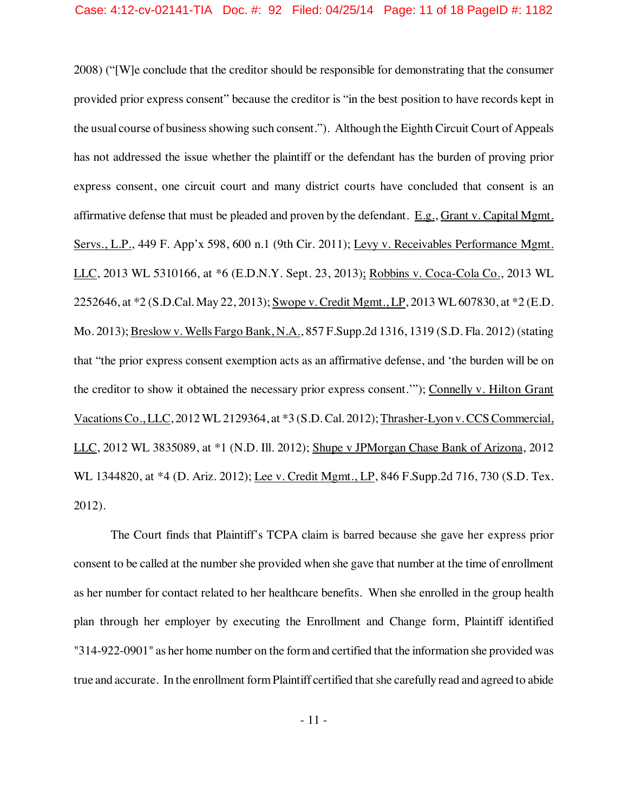## Case: 4:12-cv-02141-TIA Doc. #: 92 Filed: 04/25/14 Page: 11 of 18 PageID #: 1182

2008) ("[W]e conclude that the creditor should be responsible for demonstrating that the consumer provided prior express consent" because the creditor is "in the best position to have records kept in the usual course of businessshowing such consent."). Although the Eighth Circuit Court of Appeals has not addressed the issue whether the plaintiff or the defendant has the burden of proving prior express consent, one circuit court and many district courts have concluded that consent is an affirmative defense that must be pleaded and proven by the defendant. E.g., Grant v. Capital Mgmt. Servs., L.P., 449 F. App'x 598, 600 n.1 (9th Cir. 2011); Levy v. Receivables Performance Mgmt. LLC, 2013 WL 5310166, at \*6 (E.D.N.Y. Sept. 23, 2013); Robbins v. Coca-Cola Co., 2013 WL 2252646, at \*2 (S.D.Cal. May 22, 2013); Swope v. Credit Mgmt., LP, 2013 WL 607830, at \*2 (E.D. Mo. 2013); Breslow v. Wells Fargo Bank, N.A., 857 F.Supp.2d 1316, 1319 (S.D. Fla. 2012) (stating that "the prior express consent exemption acts as an affirmative defense, and 'the burden will be on the creditor to show it obtained the necessary prior express consent.'"); Connelly v. Hilton Grant Vacations Co., LLC, 2012 WL 2129364, at \*3 (S.D. Cal. 2012); Thrasher-Lyon v. CCS Commercial, LLC, 2012 WL 3835089, at \*1 (N.D. Ill. 2012); Shupe v JPMorgan Chase Bank of Arizona, 2012 WL 1344820, at \*4 (D. Ariz. 2012); Lee v. Credit Mgmt., LP, 846 F.Supp.2d 716, 730 (S.D. Tex. 2012).

The Court finds that Plaintiff's TCPA claim is barred because she gave her express prior consent to be called at the number she provided when she gave that number at the time of enrollment as her number for contact related to her healthcare benefits. When she enrolled in the group health plan through her employer by executing the Enrollment and Change form, Plaintiff identified "314-922-0901" as her home number on the formand certified that the information she provided was true and accurate. In the enrollment formPlaintiff certified that she carefully read and agreed to abide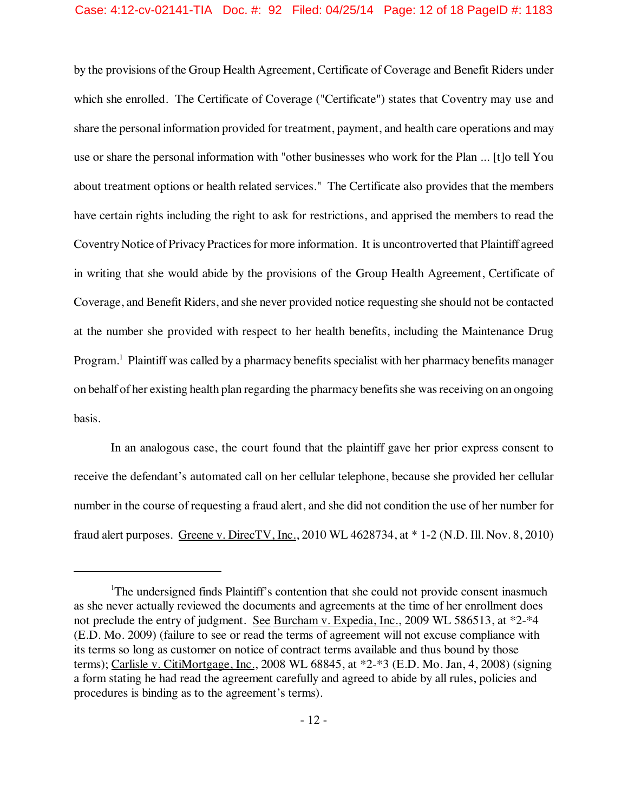## Case: 4:12-cv-02141-TIA Doc. #: 92 Filed: 04/25/14 Page: 12 of 18 PageID #: 1183

by the provisions of the Group Health Agreement, Certificate of Coverage and Benefit Riders under which she enrolled. The Certificate of Coverage ("Certificate") states that Coventry may use and share the personal information provided for treatment, payment, and health care operations and may use or share the personal information with "other businesses who work for the Plan ... [t]o tell You about treatment options or health related services." The Certificate also provides that the members have certain rights including the right to ask for restrictions, and apprised the members to read the Coventry Notice of Privacy Practices for more information. It is uncontroverted that Plaintiff agreed in writing that she would abide by the provisions of the Group Health Agreement, Certificate of Coverage, and Benefit Riders, and she never provided notice requesting she should not be contacted at the number she provided with respect to her health benefits, including the Maintenance Drug Program.<sup>1</sup> Plaintiff was called by a pharmacy benefits specialist with her pharmacy benefits manager on behalf of her existing health plan regarding the pharmacy benefits she was receiving on an ongoing basis.

In an analogous case, the court found that the plaintiff gave her prior express consent to receive the defendant's automated call on her cellular telephone, because she provided her cellular number in the course of requesting a fraud alert, and she did not condition the use of her number for fraud alert purposes. Greene v. DirecTV, Inc., 2010 WL 4628734, at \* 1-2 (N.D. Ill. Nov. 8, 2010)

<sup>&</sup>lt;sup>1</sup>The undersigned finds Plaintiff's contention that she could not provide consent inasmuch as she never actually reviewed the documents and agreements at the time of her enrollment does not preclude the entry of judgment. See Burcham v. Expedia, Inc., 2009 WL 586513, at \*2-\*4 (E.D. Mo. 2009) (failure to see or read the terms of agreement will not excuse compliance with its terms so long as customer on notice of contract terms available and thus bound by those terms); Carlisle v. CitiMortgage, Inc., 2008 WL 68845, at \*2-\*3 (E.D. Mo. Jan, 4, 2008) (signing a form stating he had read the agreement carefully and agreed to abide by all rules, policies and procedures is binding as to the agreement's terms).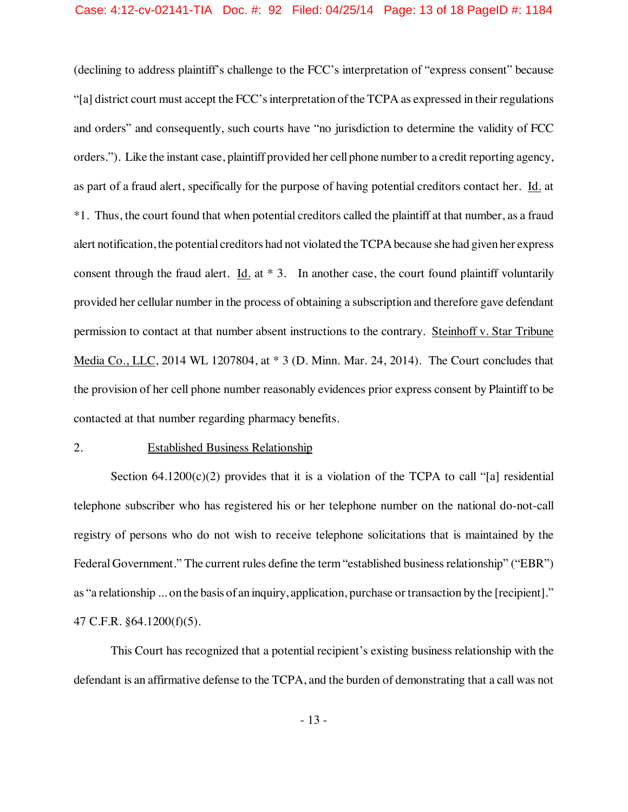## Case: 4:12-cv-02141-TIA Doc. #: 92 Filed: 04/25/14 Page: 13 of 18 PageID #: 1184

(declining to address plaintiff's challenge to the FCC's interpretation of "express consent" because "[a] district court must accept the FCC's interpretation of the TCPA as expressed in their regulations and orders" and consequently, such courts have "no jurisdiction to determine the validity of FCC orders."). Like the instant case, plaintiff provided her cellphone number to a credit reporting agency, as part of a fraud alert, specifically for the purpose of having potential creditors contact her. Id. at \*1. Thus, the court found that when potential creditors called the plaintiff at that number, as a fraud alert notification, the potential creditors had not violated the TCPAbecause she had given her express consent through the fraud alert. Id. at  $* 3$ . In another case, the court found plaintiff voluntarily provided her cellular number in the process of obtaining a subscription and therefore gave defendant permission to contact at that number absent instructions to the contrary. Steinhoff v. Star Tribune Media Co., LLC, 2014 WL 1207804, at \* 3 (D. Minn. Mar. 24, 2014). The Court concludes that the provision of her cell phone number reasonably evidences prior express consent by Plaintiff to be contacted at that number regarding pharmacy benefits.

#### 2. Established Business Relationship

Section 64.1200 $(c)(2)$  provides that it is a violation of the TCPA to call "[a] residential telephone subscriber who has registered his or her telephone number on the national do-not-call registry of persons who do not wish to receive telephone solicitations that is maintained by the Federal Government." The current rules define the term "established business relationship" ("EBR") as "a relationship ... on the basis of an inquiry, application, purchase or transaction by the [recipient]." 47 C.F.R. §64.1200(f)(5).

This Court has recognized that a potential recipient's existing business relationship with the defendant is an affirmative defense to the TCPA, and the burden of demonstrating that a call was not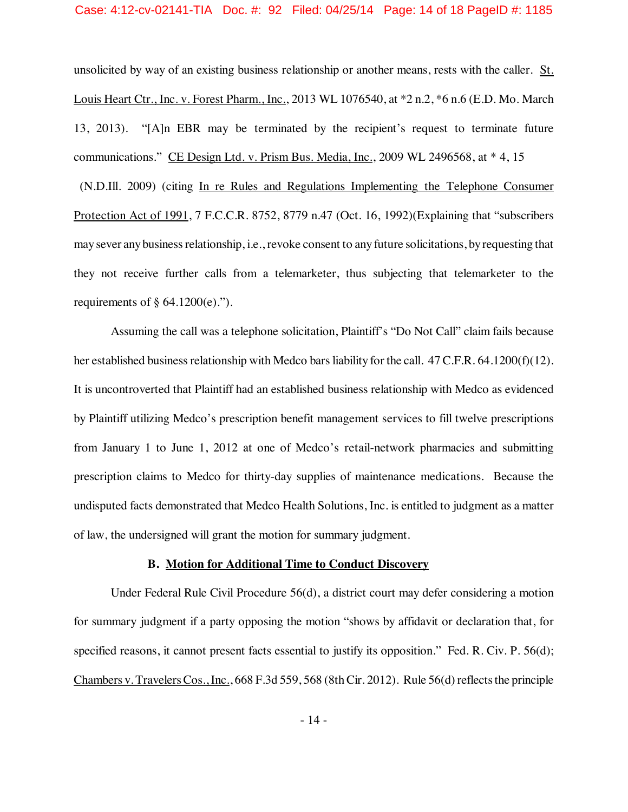unsolicited by way of an existing business relationship or another means, rests with the caller. St. Louis Heart Ctr., Inc. v. Forest Pharm., Inc., 2013 WL 1076540, at \*2 n.2, \*6 n.6 (E.D. Mo. March 13, 2013). "[A]n EBR may be terminated by the recipient's request to terminate future communications." CE Design Ltd. v. Prism Bus. Media, Inc., 2009 WL 2496568, at  $*$  4, 15 (N.D.Ill. 2009) (citing In re Rules and Regulations Implementing the Telephone Consumer Protection Act of 1991, 7 F.C.C.R. 8752, 8779 n.47 (Oct. 16, 1992)(Explaining that "subscribers maysever anybusinessrelationship, i.e., revoke consent to any future solicitations, byrequesting that they not receive further calls from a telemarketer, thus subjecting that telemarketer to the requirements of  $\S$  64.1200(e).").

Assuming the call was a telephone solicitation, Plaintiff's "Do Not Call" claim fails because her established business relationship with Medco bars liability for the call. 47 C.F.R. 64.1200(f)(12). It is uncontroverted that Plaintiff had an established business relationship with Medco as evidenced by Plaintiff utilizing Medco's prescription benefit management services to fill twelve prescriptions from January 1 to June 1, 2012 at one of Medco's retail-network pharmacies and submitting prescription claims to Medco for thirty-day supplies of maintenance medications. Because the undisputed facts demonstrated that Medco Health Solutions, Inc. is entitled to judgment as a matter of law, the undersigned will grant the motion for summary judgment.

## **B. Motion for Additional Time to Conduct Discovery**

Under Federal Rule Civil Procedure 56(d), a district court may defer considering a motion for summary judgment if a party opposing the motion "shows by affidavit or declaration that, for specified reasons, it cannot present facts essential to justify its opposition." Fed. R. Civ. P. 56(d); Chambers v. Travelers Cos., Inc., 668 F.3d 559, 568 (8th Cir. 2012). Rule 56(d) reflects the principle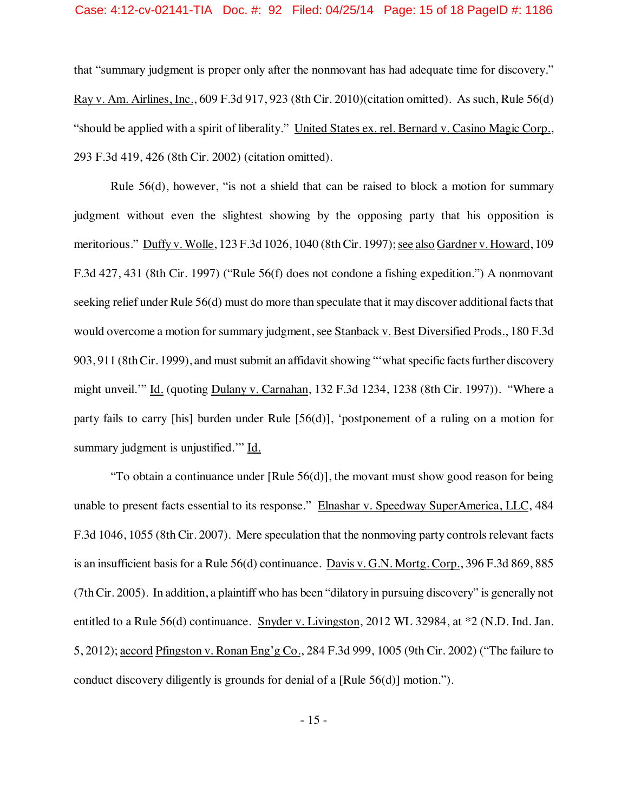## Case: 4:12-cv-02141-TIA Doc. #: 92 Filed: 04/25/14 Page: 15 of 18 PageID #: 1186

that "summary judgment is proper only after the nonmovant has had adequate time for discovery." Ray v. Am. Airlines, Inc., 609 F.3d 917, 923 (8th Cir. 2010)(citation omitted). As such, Rule 56(d) "should be applied with a spirit of liberality." United States ex. rel. Bernard v. Casino Magic Corp., 293 F.3d 419, 426 (8th Cir. 2002) (citation omitted).

Rule 56(d), however, "is not a shield that can be raised to block a motion for summary judgment without even the slightest showing by the opposing party that his opposition is meritorious." Duffy v. Wolle, 123 F.3d 1026, 1040 (8th Cir. 1997); see also Gardner v. Howard, 109 F.3d 427, 431 (8th Cir. 1997) ("Rule 56(f) does not condone a fishing expedition.") A nonmovant seeking relief under Rule 56(d) must do more than speculate that it may discover additional facts that would overcome a motion for summary judgment, see Stanback v. Best Diversified Prods., 180 F.3d 903, 911 (8th Cir. 1999), and must submit an affidavit showing "'what specific facts further discovery might unveil.'" Id. (quoting Dulany v. Carnahan, 132 F.3d 1234, 1238 (8th Cir. 1997)). "Where a party fails to carry [his] burden under Rule [56(d)], 'postponement of a ruling on a motion for summary judgment is unjustified.'" Id.

"To obtain a continuance under  $[Rule 56(d)],$  the movant must show good reason for being unable to present facts essential to its response." Elnashar v. Speedway SuperAmerica, LLC, 484 F.3d 1046, 1055 (8th Cir. 2007). Mere speculation that the nonmoving party controls relevant facts is an insufficient basis for a Rule 56(d) continuance. Davis v. G.N. Mortg. Corp., 396 F.3d 869, 885 (7thCir. 2005). In addition, a plaintiff who has been "dilatory in pursuing discovery" is generally not entitled to a Rule 56(d) continuance. Snyder v. Livingston, 2012 WL 32984, at \*2 (N.D. Ind. Jan. 5, 2012); accord Pfingston v. Ronan Eng'g Co., 284 F.3d 999, 1005 (9th Cir. 2002) ("The failure to conduct discovery diligently is grounds for denial of a [Rule 56(d)] motion.").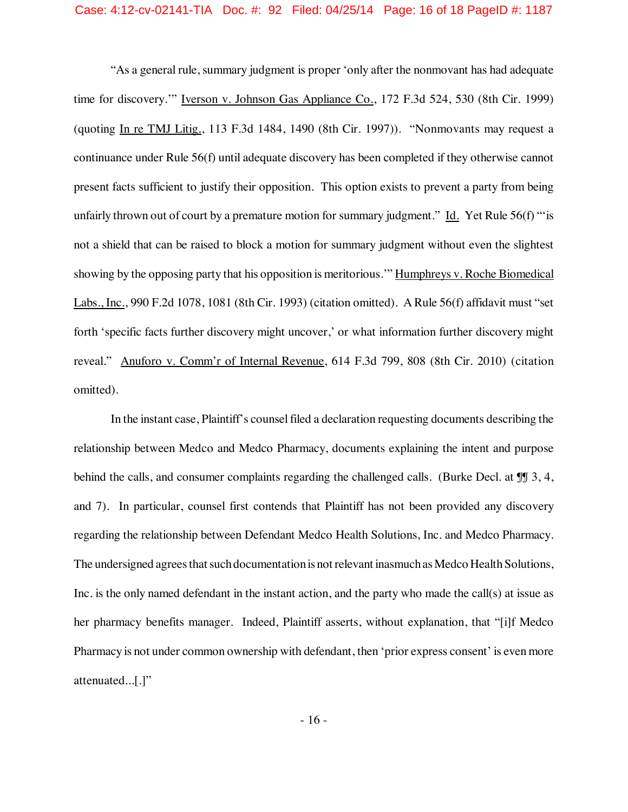## Case: 4:12-cv-02141-TIA Doc. #: 92 Filed: 04/25/14 Page: 16 of 18 PageID #: 1187

"As a general rule, summary judgment is proper 'only after the nonmovant has had adequate time for discovery.'" Iverson v. Johnson Gas Appliance Co., 172 F.3d 524, 530 (8th Cir. 1999) (quoting In re TMJ Litig., 113 F.3d 1484, 1490 (8th Cir. 1997)). "Nonmovants may request a continuance under Rule 56(f) until adequate discovery has been completed if they otherwise cannot present facts sufficient to justify their opposition. This option exists to prevent a party from being unfairly thrown out of court by a premature motion for summary judgment." Id. Yet Rule 56(f) "'is not a shield that can be raised to block a motion for summary judgment without even the slightest showing by the opposing party that his opposition is meritorious.'" Humphreys v. Roche Biomedical Labs., Inc., 990 F.2d 1078, 1081 (8th Cir. 1993) (citation omitted). A Rule 56(f) affidavit must "set forth 'specific facts further discovery might uncover,' or what information further discovery might reveal." Anuforo v. Comm'r of Internal Revenue, 614 F.3d 799, 808 (8th Cir. 2010) (citation omitted).

In the instant case, Plaintiff's counsel filed a declaration requesting documents describing the relationship between Medco and Medco Pharmacy, documents explaining the intent and purpose behind the calls, and consumer complaints regarding the challenged calls. (Burke Decl. at  $\P$   $\parallel$  3, 4, and 7). In particular, counsel first contends that Plaintiff has not been provided any discovery regarding the relationship between Defendant Medco Health Solutions, Inc. and Medco Pharmacy. The undersigned agrees that such documentation is not relevant inasmuch as Medco Health Solutions, Inc. is the only named defendant in the instant action, and the party who made the call(s) at issue as her pharmacy benefits manager. Indeed, Plaintiff asserts, without explanation, that "[i]f Medco Pharmacy is not under common ownership with defendant, then 'prior express consent' is even more attenuated...[.]"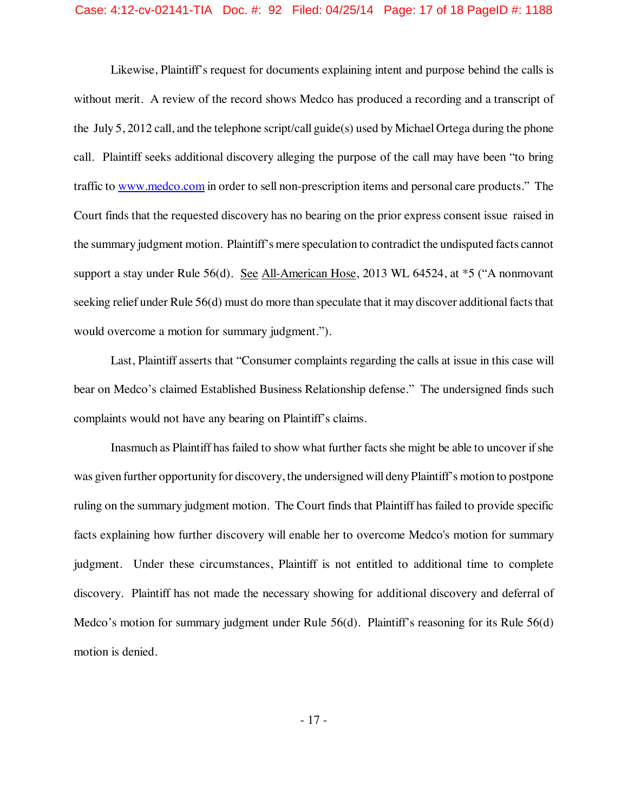## Case: 4:12-cv-02141-TIA Doc. #: 92 Filed: 04/25/14 Page: 17 of 18 PageID #: 1188

Likewise, Plaintiff's request for documents explaining intent and purpose behind the calls is without merit. A review of the record shows Medco has produced a recording and a transcript of the July 5, 2012 call, and the telephone script/call guide(s) used by Michael Ortega during the phone call. Plaintiff seeks additional discovery alleging the purpose of the call may have been "to bring traffic to www.medco.com in order to sell non-prescription items and personal care products." The Court finds that the requested discovery has no bearing on the prior express consent issue raised in the summary judgment motion. Plaintiff'smere speculation to contradict the undisputed facts cannot support a stay under Rule 56(d). See All-American Hose, 2013 WL 64524, at \*5 ("A nonmovant seeking relief under Rule 56(d) must do more than speculate that it may discover additional facts that would overcome a motion for summary judgment.").

Last, Plaintiff asserts that "Consumer complaints regarding the calls at issue in this case will bear on Medco's claimed Established Business Relationship defense." The undersigned finds such complaints would not have any bearing on Plaintiff's claims.

Inasmuch as Plaintiff has failed to show what further facts she might be able to uncover if she was given further opportunity for discovery, the undersigned will deny Plaintiff's motion to postpone ruling on the summary judgment motion.The Court finds that Plaintiff has failed to provide specific facts explaining how further discovery will enable her to overcome Medco's motion for summary judgment. Under these circumstances, Plaintiff is not entitled to additional time to complete discovery. Plaintiff has not made the necessary showing for additional discovery and deferral of Medco's motion for summary judgment under Rule 56(d). Plaintiff's reasoning for its Rule 56(d) motion is denied.